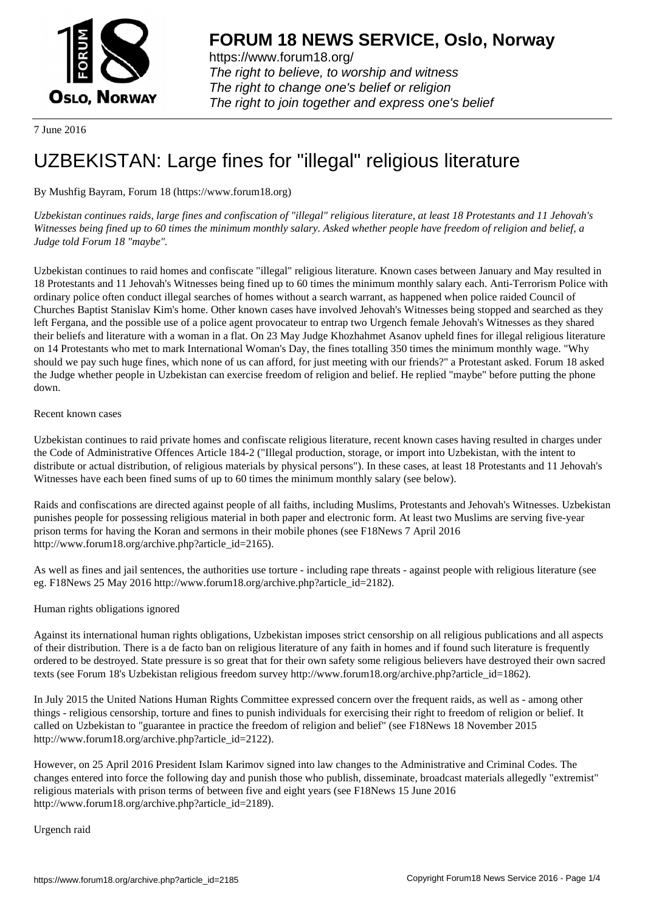

https://www.forum18.org/ The right to believe, to worship and witness The right to change one's belief or religion [The right to join together a](https://www.forum18.org/)nd express one's belief

7 June 2016

# [UZBEKISTAN:](https://www.forum18.org) Large fines for "illegal" religious literature

# By Mushfig Bayram, Forum 18 (https://www.forum18.org)

*Uzbekistan continues raids, large fines and confiscation of "illegal" religious literature, at least 18 Protestants and 11 Jehovah's Witnesses being fined up to 60 times the minimum monthly salary. Asked whether people have freedom of religion and belief, a Judge told Forum 18 "maybe".*

Uzbekistan continues to raid homes and confiscate "illegal" religious literature. Known cases between January and May resulted in 18 Protestants and 11 Jehovah's Witnesses being fined up to 60 times the minimum monthly salary each. Anti-Terrorism Police with ordinary police often conduct illegal searches of homes without a search warrant, as happened when police raided Council of Churches Baptist Stanislav Kim's home. Other known cases have involved Jehovah's Witnesses being stopped and searched as they left Fergana, and the possible use of a police agent provocateur to entrap two Urgench female Jehovah's Witnesses as they shared their beliefs and literature with a woman in a flat. On 23 May Judge Khozhahmet Asanov upheld fines for illegal religious literature on 14 Protestants who met to mark International Woman's Day, the fines totalling 350 times the minimum monthly wage. "Why should we pay such huge fines, which none of us can afford, for just meeting with our friends?" a Protestant asked. Forum 18 asked the Judge whether people in Uzbekistan can exercise freedom of religion and belief. He replied "maybe" before putting the phone down.

Recent known cases

Uzbekistan continues to raid private homes and confiscate religious literature, recent known cases having resulted in charges under the Code of Administrative Offences Article 184-2 ("Illegal production, storage, or import into Uzbekistan, with the intent to distribute or actual distribution, of religious materials by physical persons"). In these cases, at least 18 Protestants and 11 Jehovah's Witnesses have each been fined sums of up to 60 times the minimum monthly salary (see below).

Raids and confiscations are directed against people of all faiths, including Muslims, Protestants and Jehovah's Witnesses. Uzbekistan punishes people for possessing religious material in both paper and electronic form. At least two Muslims are serving five-year prison terms for having the Koran and sermons in their mobile phones (see F18News 7 April 2016 http://www.forum18.org/archive.php?article\_id=2165).

As well as fines and jail sentences, the authorities use torture - including rape threats - against people with religious literature (see eg. F18News 25 May 2016 http://www.forum18.org/archive.php?article\_id=2182).

Human rights obligations ignored

Against its international human rights obligations, Uzbekistan imposes strict censorship on all religious publications and all aspects of their distribution. There is a de facto ban on religious literature of any faith in homes and if found such literature is frequently ordered to be destroyed. State pressure is so great that for their own safety some religious believers have destroyed their own sacred texts (see Forum 18's Uzbekistan religious freedom survey http://www.forum18.org/archive.php?article\_id=1862).

In July 2015 the United Nations Human Rights Committee expressed concern over the frequent raids, as well as - among other things - religious censorship, torture and fines to punish individuals for exercising their right to freedom of religion or belief. It called on Uzbekistan to "guarantee in practice the freedom of religion and belief" (see F18News 18 November 2015 http://www.forum18.org/archive.php?article\_id=2122).

However, on 25 April 2016 President Islam Karimov signed into law changes to the Administrative and Criminal Codes. The changes entered into force the following day and punish those who publish, disseminate, broadcast materials allegedly "extremist" religious materials with prison terms of between five and eight years (see F18News 15 June 2016 http://www.forum18.org/archive.php?article\_id=2189).

Urgench raid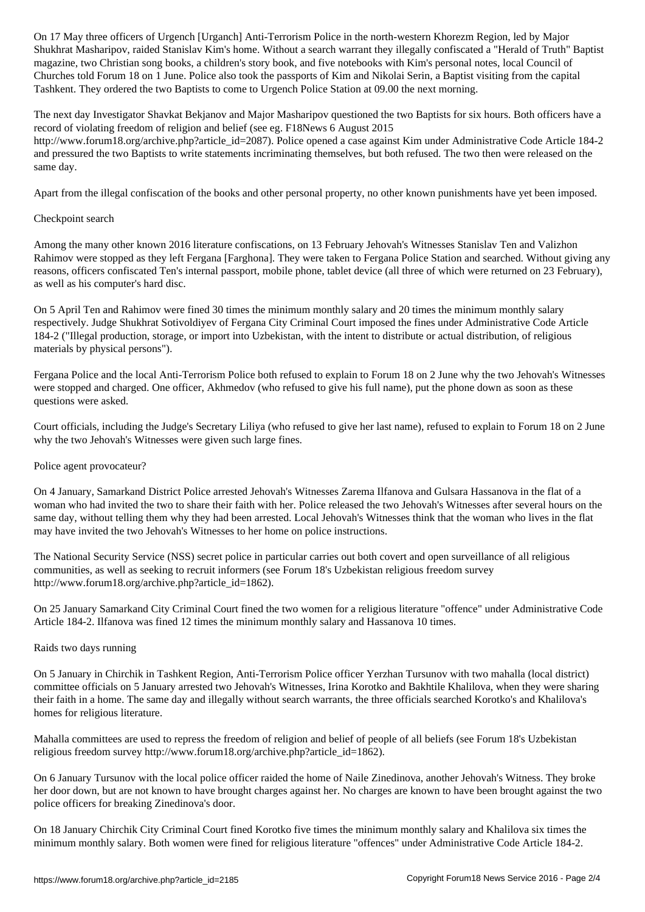Shukhrat Masharipov, raided Stanislav Kim's home. Without a search warrant they illegally confiscated a "Herald of Truth" Baptist magazine, two Christian song books, a children's story book, and five notebooks with Kim's personal notes, local Council of Churches told Forum 18 on 1 June. Police also took the passports of Kim and Nikolai Serin, a Baptist visiting from the capital Tashkent. They ordered the two Baptists to come to Urgench Police Station at 09.00 the next morning.

The next day Investigator Shavkat Bekjanov and Major Masharipov questioned the two Baptists for six hours. Both officers have a record of violating freedom of religion and belief (see eg. F18News 6 August 2015

http://www.forum18.org/archive.php?article\_id=2087). Police opened a case against Kim under Administrative Code Article 184-2 and pressured the two Baptists to write statements incriminating themselves, but both refused. The two then were released on the same day.

Apart from the illegal confiscation of the books and other personal property, no other known punishments have yet been imposed.

#### Checkpoint search

Among the many other known 2016 literature confiscations, on 13 February Jehovah's Witnesses Stanislav Ten and Valizhon Rahimov were stopped as they left Fergana [Farghona]. They were taken to Fergana Police Station and searched. Without giving any reasons, officers confiscated Ten's internal passport, mobile phone, tablet device (all three of which were returned on 23 February), as well as his computer's hard disc.

On 5 April Ten and Rahimov were fined 30 times the minimum monthly salary and 20 times the minimum monthly salary respectively. Judge Shukhrat Sotivoldiyev of Fergana City Criminal Court imposed the fines under Administrative Code Article 184-2 ("Illegal production, storage, or import into Uzbekistan, with the intent to distribute or actual distribution, of religious materials by physical persons").

Fergana Police and the local Anti-Terrorism Police both refused to explain to Forum 18 on 2 June why the two Jehovah's Witnesses were stopped and charged. One officer, Akhmedov (who refused to give his full name), put the phone down as soon as these questions were asked.

Court officials, including the Judge's Secretary Liliya (who refused to give her last name), refused to explain to Forum 18 on 2 June why the two Jehovah's Witnesses were given such large fines.

#### Police agent provocateur?

On 4 January, Samarkand District Police arrested Jehovah's Witnesses Zarema Ilfanova and Gulsara Hassanova in the flat of a woman who had invited the two to share their faith with her. Police released the two Jehovah's Witnesses after several hours on the same day, without telling them why they had been arrested. Local Jehovah's Witnesses think that the woman who lives in the flat may have invited the two Jehovah's Witnesses to her home on police instructions.

The National Security Service (NSS) secret police in particular carries out both covert and open surveillance of all religious communities, as well as seeking to recruit informers (see Forum 18's Uzbekistan religious freedom survey http://www.forum18.org/archive.php?article\_id=1862).

On 25 January Samarkand City Criminal Court fined the two women for a religious literature "offence" under Administrative Code Article 184-2. Ilfanova was fined 12 times the minimum monthly salary and Hassanova 10 times.

#### Raids two days running

On 5 January in Chirchik in Tashkent Region, Anti-Terrorism Police officer Yerzhan Tursunov with two mahalla (local district) committee officials on 5 January arrested two Jehovah's Witnesses, Irina Korotko and Bakhtile Khalilova, when they were sharing their faith in a home. The same day and illegally without search warrants, the three officials searched Korotko's and Khalilova's homes for religious literature.

Mahalla committees are used to repress the freedom of religion and belief of people of all beliefs (see Forum 18's Uzbekistan religious freedom survey http://www.forum18.org/archive.php?article\_id=1862).

On 6 January Tursunov with the local police officer raided the home of Naile Zinedinova, another Jehovah's Witness. They broke her door down, but are not known to have brought charges against her. No charges are known to have been brought against the two police officers for breaking Zinedinova's door.

On 18 January Chirchik City Criminal Court fined Korotko five times the minimum monthly salary and Khalilova six times the minimum monthly salary. Both women were fined for religious literature "offences" under Administrative Code Article 184-2.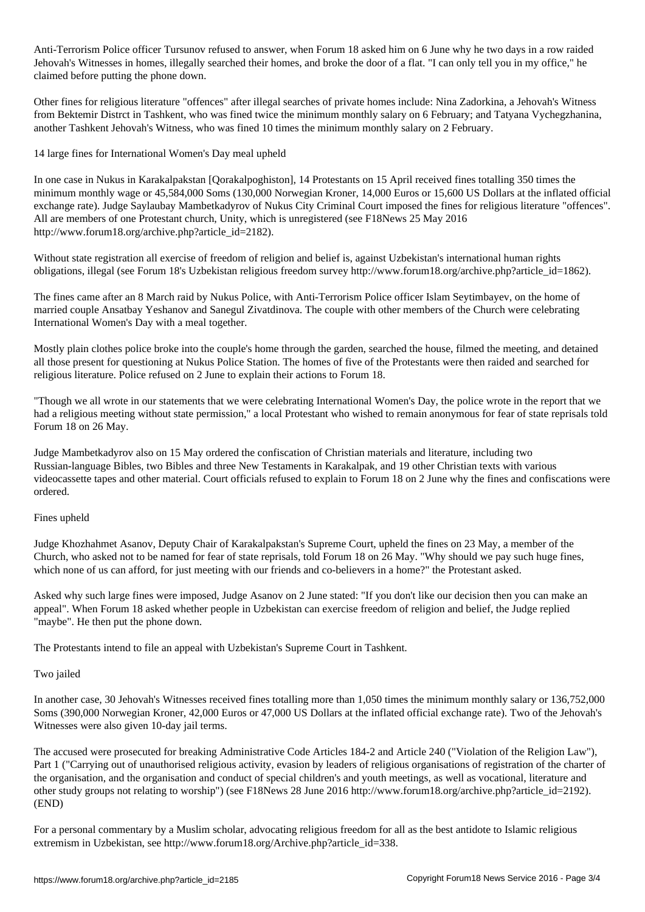Anti-Terrorism Police of tursunov refused to answer, when  $\mathcal{A}$  as two days in a row raid why he two days in a row raid Jehovah's Witnesses in homes, illegally searched their homes, and broke the door of a flat. "I can only tell you in my office," he claimed before putting the phone down.

Other fines for religious literature "offences" after illegal searches of private homes include: Nina Zadorkina, a Jehovah's Witness from Bektemir Distrct in Tashkent, who was fined twice the minimum monthly salary on 6 February; and Tatyana Vychegzhanina, another Tashkent Jehovah's Witness, who was fined 10 times the minimum monthly salary on 2 February.

14 large fines for International Women's Day meal upheld

In one case in Nukus in Karakalpakstan [Qorakalpoghiston], 14 Protestants on 15 April received fines totalling 350 times the minimum monthly wage or 45,584,000 Soms (130,000 Norwegian Kroner, 14,000 Euros or 15,600 US Dollars at the inflated official exchange rate). Judge Saylaubay Mambetkadyrov of Nukus City Criminal Court imposed the fines for religious literature "offences". All are members of one Protestant church, Unity, which is unregistered (see F18News 25 May 2016 http://www.forum18.org/archive.php?article\_id=2182).

Without state registration all exercise of freedom of religion and belief is, against Uzbekistan's international human rights obligations, illegal (see Forum 18's Uzbekistan religious freedom survey http://www.forum18.org/archive.php?article\_id=1862).

The fines came after an 8 March raid by Nukus Police, with Anti-Terrorism Police officer Islam Seytimbayev, on the home of married couple Ansatbay Yeshanov and Sanegul Zivatdinova. The couple with other members of the Church were celebrating International Women's Day with a meal together.

Mostly plain clothes police broke into the couple's home through the garden, searched the house, filmed the meeting, and detained all those present for questioning at Nukus Police Station. The homes of five of the Protestants were then raided and searched for religious literature. Police refused on 2 June to explain their actions to Forum 18.

"Though we all wrote in our statements that we were celebrating International Women's Day, the police wrote in the report that we had a religious meeting without state permission," a local Protestant who wished to remain anonymous for fear of state reprisals told Forum 18 on 26 May.

Judge Mambetkadyrov also on 15 May ordered the confiscation of Christian materials and literature, including two Russian-language Bibles, two Bibles and three New Testaments in Karakalpak, and 19 other Christian texts with various videocassette tapes and other material. Court officials refused to explain to Forum 18 on 2 June why the fines and confiscations were ordered.

## Fines upheld

Judge Khozhahmet Asanov, Deputy Chair of Karakalpakstan's Supreme Court, upheld the fines on 23 May, a member of the Church, who asked not to be named for fear of state reprisals, told Forum 18 on 26 May. "Why should we pay such huge fines, which none of us can afford, for just meeting with our friends and co-believers in a home?" the Protestant asked.

Asked why such large fines were imposed, Judge Asanov on 2 June stated: "If you don't like our decision then you can make an appeal". When Forum 18 asked whether people in Uzbekistan can exercise freedom of religion and belief, the Judge replied "maybe". He then put the phone down.

The Protestants intend to file an appeal with Uzbekistan's Supreme Court in Tashkent.

## Two jailed

In another case, 30 Jehovah's Witnesses received fines totalling more than 1,050 times the minimum monthly salary or 136,752,000 Soms (390,000 Norwegian Kroner, 42,000 Euros or 47,000 US Dollars at the inflated official exchange rate). Two of the Jehovah's Witnesses were also given 10-day jail terms.

The accused were prosecuted for breaking Administrative Code Articles 184-2 and Article 240 ("Violation of the Religion Law"), Part 1 ("Carrying out of unauthorised religious activity, evasion by leaders of religious organisations of registration of the charter of the organisation, and the organisation and conduct of special children's and youth meetings, as well as vocational, literature and other study groups not relating to worship") (see F18News 28 June 2016 http://www.forum18.org/archive.php?article\_id=2192). (END)

For a personal commentary by a Muslim scholar, advocating religious freedom for all as the best antidote to Islamic religious extremism in Uzbekistan, see http://www.forum18.org/Archive.php?article\_id=338.